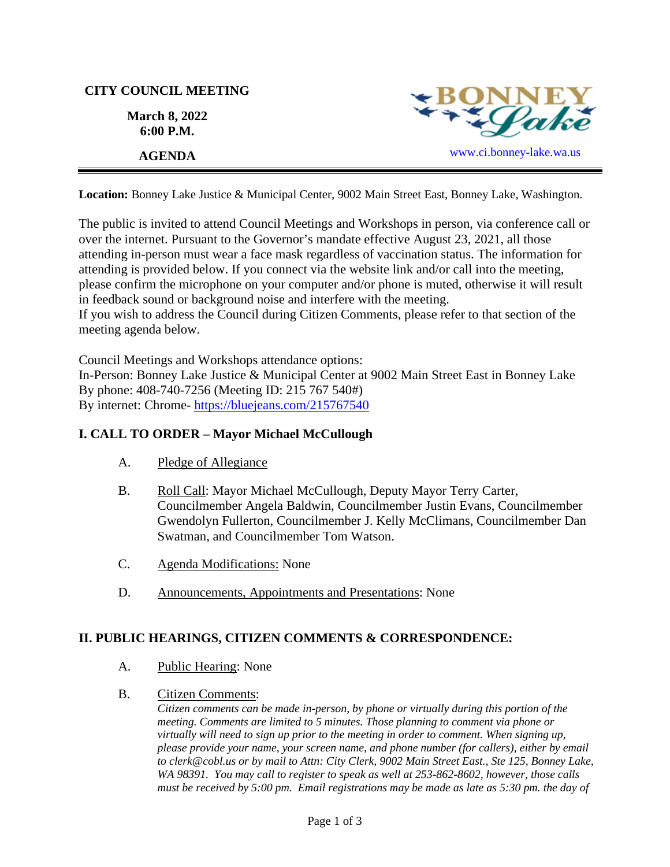# **CITY COUNCIL MEETING March 8, 2022**





**Location:** Bonney Lake Justice & Municipal Center, 9002 Main Street East, Bonney Lake, Washington.

The public is invited to attend Council Meetings and Workshops in person, via conference call or over the internet. Pursuant to the Governor's mandate effective August 23, 2021, all those attending in-person must wear a face mask regardless of vaccination status. The information for attending is provided below. If you connect via the website link and/or call into the meeting, please confirm the microphone on your computer and/or phone is muted, otherwise it will result in feedback sound or background noise and interfere with the meeting.

If you wish to address the Council during Citizen Comments, please refer to that section of the meeting agenda below.

Council Meetings and Workshops attendance options:

In-Person: Bonney Lake Justice & Municipal Center at 9002 Main Street East in Bonney Lake By phone: 408-740-7256 (Meeting ID: 215 767 540#) By internet: Chrome- [https://bluejeans.com/215767540](https://bluejeans.com/215767540?src=calendarLink&flow=joinmeeting)

### **I. CALL TO ORDER – Mayor Michael McCullough**

- A. Pledge of Allegiance
- B. Roll Call: Mayor Michael McCullough, Deputy Mayor Terry Carter, Councilmember Angela Baldwin, Councilmember Justin Evans, Councilmember Gwendolyn Fullerton, Councilmember J. Kelly McClimans, Councilmember Dan Swatman, and Councilmember Tom Watson.
- C. Agenda Modifications: None
- D. Announcements, Appointments and Presentations: None

### **II. PUBLIC HEARINGS, CITIZEN COMMENTS & CORRESPONDENCE:**

- A. Public Hearing: None
- B. Citizen Comments:

*Citizen comments can be made in-person, by phone or virtually during this portion of the meeting. Comments are limited to 5 minutes. Those planning to comment via phone or virtually will need to sign up prior to the meeting in order to comment. When signing up, please provide your name, your screen name, and phone number (for callers), either by email to clerk@cobl.us or by mail to Attn: City Clerk, 9002 Main Street East., Ste 125, Bonney Lake, WA 98391. You may call to register to speak as well at 253-862-8602, however, those calls must be received by 5:00 pm. Email registrations may be made as late as 5:30 pm. the day of*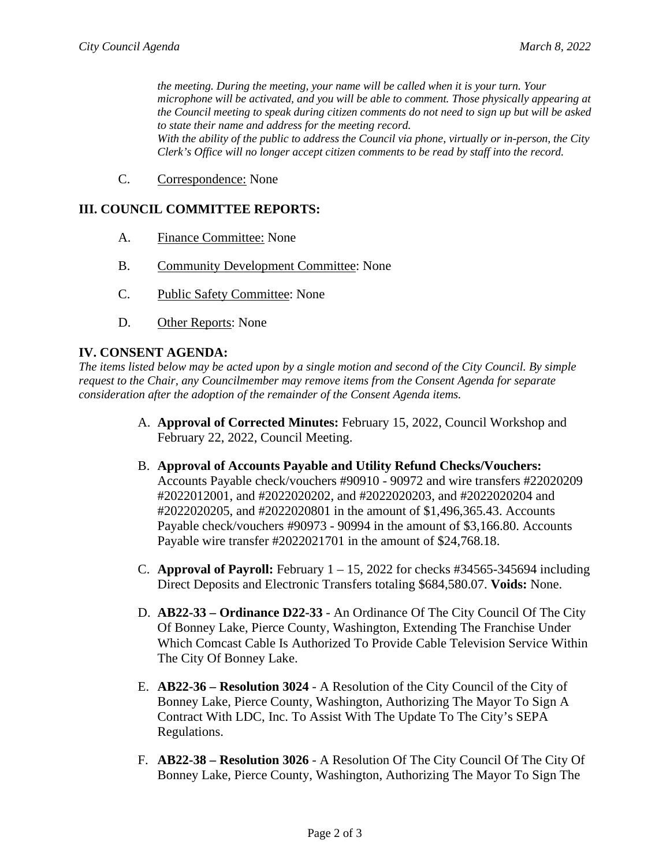*the meeting. During the meeting, your name will be called when it is your turn. Your microphone will be activated, and you will be able to comment. Those physically appearing at the Council meeting to speak during citizen comments do not need to sign up but will be asked to state their name and address for the meeting record. With the ability of the public to address the Council via phone, virtually or in-person, the City Clerk's Office will no longer accept citizen comments to be read by staff into the record.*

C. Correspondence: None

#### **III. COUNCIL COMMITTEE REPORTS:**

- A. Finance Committee: None
- B. Community Development Committee: None
- C. Public Safety Committee: None
- D. Other Reports: None

#### **IV. CONSENT AGENDA:**

*The items listed below may be acted upon by a single motion and second of the City Council. By simple request to the Chair, any Councilmember may remove items from the Consent Agenda for separate consideration after the adoption of the remainder of the Consent Agenda items.*

- A. **Approval of Corrected Minutes:** February 15, 2022, Council Workshop and February 22, 2022, Council Meeting.
- B. **Approval of Accounts Payable and Utility Refund Checks/Vouchers:** Accounts Payable check/vouchers #90910 - 90972 and wire transfers #22020209 #2022012001, and #2022020202, and #2022020203, and #2022020204 and #2022020205, and #2022020801 in the amount of \$1,496,365.43. Accounts Payable check/vouchers #90973 - 90994 in the amount of \$3,166.80. Accounts Payable wire transfer #2022021701 in the amount of \$24,768.18.
- C. **Approval of Payroll:** February 1 15, 2022 for checks #34565-345694 including Direct Deposits and Electronic Transfers totaling \$684,580.07. **Voids:** None.
- D. **AB22-33 – Ordinance D22-33** An Ordinance Of The City Council Of The City Of Bonney Lake, Pierce County, Washington, Extending The Franchise Under Which Comcast Cable Is Authorized To Provide Cable Television Service Within The City Of Bonney Lake.
- E. **AB22-36 – Resolution 3024** A Resolution of the City Council of the City of Bonney Lake, Pierce County, Washington, Authorizing The Mayor To Sign A Contract With LDC, Inc. To Assist With The Update To The City's SEPA Regulations.
- F. **AB22-38 – Resolution 3026** A Resolution Of The City Council Of The City Of Bonney Lake, Pierce County, Washington, Authorizing The Mayor To Sign The